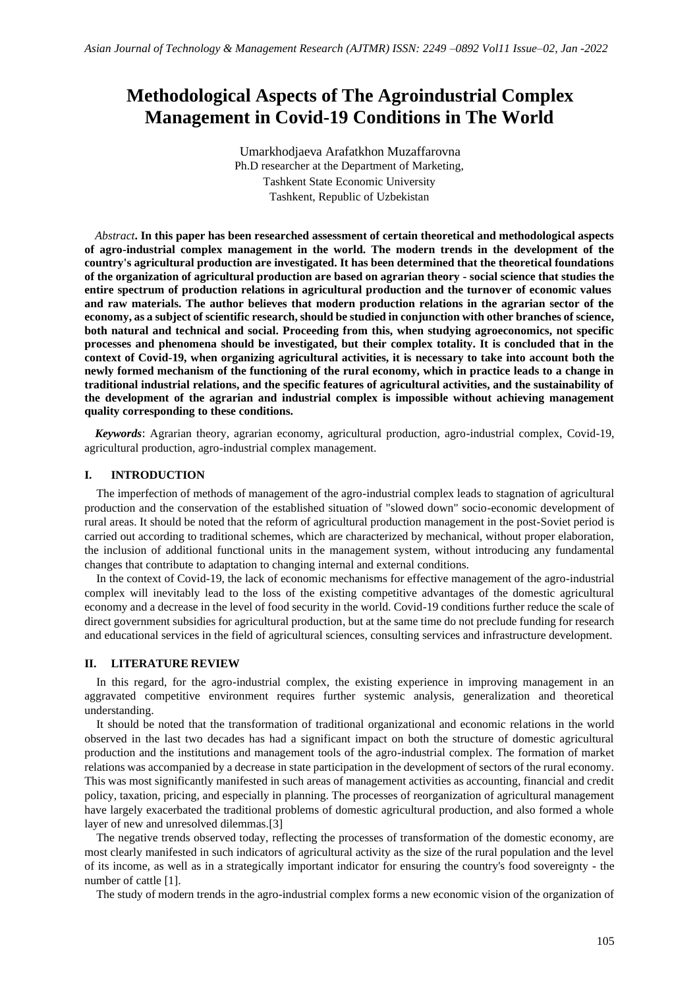# **Methodological Aspects of The Agroindustrial Complex Management in Covid-19 Conditions in The World**

Umarkhodjaeva Arafatkhon Muzaffarovna Ph.D researcher at the Department of Marketing, Tashkent State Economic University Tashkent, Republic of Uzbekistan

*Abstract***. In this paper has been researched assessment of certain theoretical and methodological aspects of agro-industrial complex management in the world. The modern trends in the development of the country's agricultural production are investigated. It has been determined that the theoretical foundations of the organization of agricultural production are based on agrarian theory - social science that studies the entire spectrum of production relations in agricultural production and the turnover of economic values and raw materials. The author believes that modern production relations in the agrarian sector of the economy, as a subject of scientific research, should be studied in conjunction with other branches of science, both natural and technical and social. Proceeding from this, when studying agroeconomics, not specific processes and phenomena should be investigated, but their complex totality. It is concluded that in the context of Covid-19, when organizing agricultural activities, it is necessary to take into account both the newly formed mechanism of the functioning of the rural economy, which in practice leads to a change in traditional industrial relations, and the specific features of agricultural activities, and the sustainability of the development of the agrarian and industrial complex is impossible without achieving management quality corresponding to these conditions.**

*Keywords*: Agrarian theory, agrarian economy, agricultural production, agro-industrial complex, Covid-19, agricultural production, agro-industrial complex management.

#### **I. INTRODUCTION**

The imperfection of methods of management of the agro-industrial complex leads to stagnation of agricultural production and the conservation of the established situation of "slowed down" socio-economic development of rural areas. It should be noted that the reform of agricultural production management in the post-Soviet period is carried out according to traditional schemes, which are characterized by mechanical, without proper elaboration, the inclusion of additional functional units in the management system, without introducing any fundamental changes that contribute to adaptation to changing internal and external conditions.

In the context of Covid-19, the lack of economic mechanisms for effective management of the agro-industrial complex will inevitably lead to the loss of the existing competitive advantages of the domestic agricultural economy and a decrease in the level of food security in the world. Covid-19 conditions further reduce the scale of direct government subsidies for agricultural production, but at the same time do not preclude funding for research and educational services in the field of agricultural sciences, consulting services and infrastructure development.

### **II. LITERATURE REVIEW**

In this regard, for the agro-industrial complex, the existing experience in improving management in an aggravated competitive environment requires further systemic analysis, generalization and theoretical understanding.

It should be noted that the transformation of traditional organizational and economic relations in the world observed in the last two decades has had a significant impact on both the structure of domestic agricultural production and the institutions and management tools of the agro-industrial complex. The formation of market relations was accompanied by a decrease in state participation in the development of sectors of the rural economy. This was most significantly manifested in such areas of management activities as accounting, financial and credit policy, taxation, pricing, and especially in planning. The processes of reorganization of agricultural management have largely exacerbated the traditional problems of domestic agricultural production, and also formed a whole layer of new and unresolved dilemmas.[3]

The negative trends observed today, reflecting the processes of transformation of the domestic economy, are most clearly manifested in such indicators of agricultural activity as the size of the rural population and the level of its income, as well as in a strategically important indicator for ensuring the country's food sovereignty - the number of cattle [1].

The study of modern trends in the agro-industrial complex forms a new economic vision of the organization of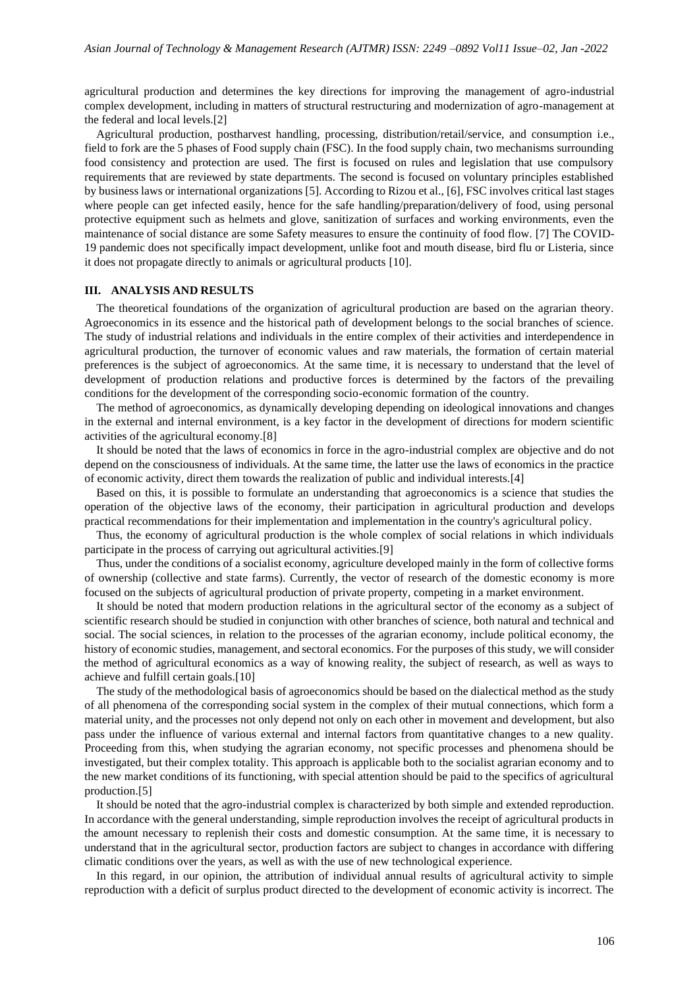agricultural production and determines the key directions for improving the management of agro-industrial complex development, including in matters of structural restructuring and modernization of agro-management at the federal and local levels.[2]

Agricultural production, postharvest handling, processing, distribution/retail/service, and consumption i.e., field to fork are the 5 phases of Food supply chain (FSC). In the food supply chain, two mechanisms surrounding food consistency and protection are used. The first is focused on rules and legislation that use compulsory requirements that are reviewed by state departments. The second is focused on voluntary principles established by business laws or international organizations [5]. According to Rizou et al., [6], FSC involves critical last stages where people can get infected easily, hence for the safe handling/preparation/delivery of food, using personal protective equipment such as helmets and glove, sanitization of surfaces and working environments, even the maintenance of social distance are some Safety measures to ensure the continuity of food flow. [7] The COVID-19 pandemic does not specifically impact development, unlike foot and mouth disease, bird flu or Listeria, since it does not propagate directly to animals or agricultural products [10].

## **III. ANALYSIS AND RESULTS**

The theoretical foundations of the organization of agricultural production are based on the agrarian theory. Agroeconomics in its essence and the historical path of development belongs to the social branches of science. The study of industrial relations and individuals in the entire complex of their activities and interdependence in agricultural production, the turnover of economic values and raw materials, the formation of certain material preferences is the subject of agroeconomics. At the same time, it is necessary to understand that the level of development of production relations and productive forces is determined by the factors of the prevailing conditions for the development of the corresponding socio-economic formation of the country.

The method of agroeconomics, as dynamically developing depending on ideological innovations and changes in the external and internal environment, is a key factor in the development of directions for modern scientific activities of the agricultural economy.[8]

It should be noted that the laws of economics in force in the agro-industrial complex are objective and do not depend on the consciousness of individuals. At the same time, the latter use the laws of economics in the practice of economic activity, direct them towards the realization of public and individual interests.[4]

Based on this, it is possible to formulate an understanding that agroeconomics is a science that studies the operation of the objective laws of the economy, their participation in agricultural production and develops practical recommendations for their implementation and implementation in the country's agricultural policy.

Thus, the economy of agricultural production is the whole complex of social relations in which individuals participate in the process of carrying out agricultural activities.[9]

Thus, under the conditions of a socialist economy, agriculture developed mainly in the form of collective forms of ownership (collective and state farms). Currently, the vector of research of the domestic economy is more focused on the subjects of agricultural production of private property, competing in a market environment.

It should be noted that modern production relations in the agricultural sector of the economy as a subject of scientific research should be studied in conjunction with other branches of science, both natural and technical and social. The social sciences, in relation to the processes of the agrarian economy, include political economy, the history of economic studies, management, and sectoral economics. For the purposes of this study, we will consider the method of agricultural economics as a way of knowing reality, the subject of research, as well as ways to achieve and fulfill certain goals.[10]

The study of the methodological basis of agroeconomics should be based on the dialectical method as the study of all phenomena of the corresponding social system in the complex of their mutual connections, which form a material unity, and the processes not only depend not only on each other in movement and development, but also pass under the influence of various external and internal factors from quantitative changes to a new quality. Proceeding from this, when studying the agrarian economy, not specific processes and phenomena should be investigated, but their complex totality. This approach is applicable both to the socialist agrarian economy and to the new market conditions of its functioning, with special attention should be paid to the specifics of agricultural production.[5]

It should be noted that the agro-industrial complex is characterized by both simple and extended reproduction. In accordance with the general understanding, simple reproduction involves the receipt of agricultural products in the amount necessary to replenish their costs and domestic consumption. At the same time, it is necessary to understand that in the agricultural sector, production factors are subject to changes in accordance with differing climatic conditions over the years, as well as with the use of new technological experience.

In this regard, in our opinion, the attribution of individual annual results of agricultural activity to simple reproduction with a deficit of surplus product directed to the development of economic activity is incorrect. The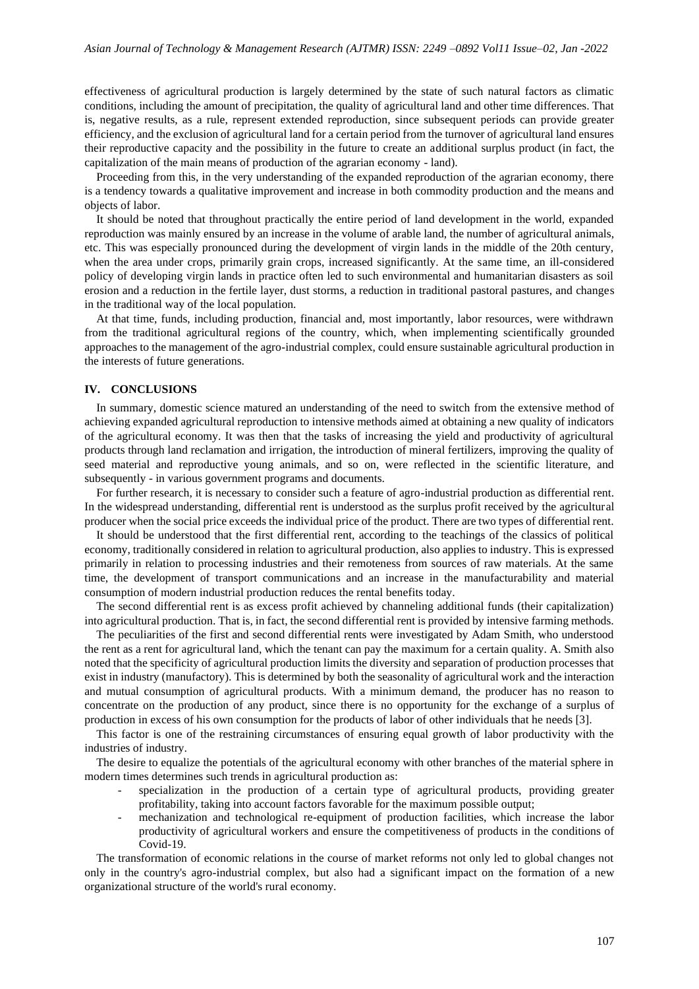effectiveness of agricultural production is largely determined by the state of such natural factors as climatic conditions, including the amount of precipitation, the quality of agricultural land and other time differences. That is, negative results, as a rule, represent extended reproduction, since subsequent periods can provide greater efficiency, and the exclusion of agricultural land for a certain period from the turnover of agricultural land ensures their reproductive capacity and the possibility in the future to create an additional surplus product (in fact, the capitalization of the main means of production of the agrarian economy - land).

Proceeding from this, in the very understanding of the expanded reproduction of the agrarian economy, there is a tendency towards a qualitative improvement and increase in both commodity production and the means and objects of labor.

It should be noted that throughout practically the entire period of land development in the world, expanded reproduction was mainly ensured by an increase in the volume of arable land, the number of agricultural animals, etc. This was especially pronounced during the development of virgin lands in the middle of the 20th century, when the area under crops, primarily grain crops, increased significantly. At the same time, an ill-considered policy of developing virgin lands in practice often led to such environmental and humanitarian disasters as soil erosion and a reduction in the fertile layer, dust storms, a reduction in traditional pastoral pastures, and changes in the traditional way of the local population.

At that time, funds, including production, financial and, most importantly, labor resources, were withdrawn from the traditional agricultural regions of the country, which, when implementing scientifically grounded approaches to the management of the agro-industrial complex, could ensure sustainable agricultural production in the interests of future generations.

#### **IV. CONCLUSIONS**

In summary, domestic science matured an understanding of the need to switch from the extensive method of achieving expanded agricultural reproduction to intensive methods aimed at obtaining a new quality of indicators of the agricultural economy. It was then that the tasks of increasing the yield and productivity of agricultural products through land reclamation and irrigation, the introduction of mineral fertilizers, improving the quality of seed material and reproductive young animals, and so on, were reflected in the scientific literature, and subsequently - in various government programs and documents.

For further research, it is necessary to consider such a feature of agro-industrial production as differential rent. In the widespread understanding, differential rent is understood as the surplus profit received by the agricultural producer when the social price exceeds the individual price of the product. There are two types of differential rent.

It should be understood that the first differential rent, according to the teachings of the classics of political economy, traditionally considered in relation to agricultural production, also applies to industry. This is expressed primarily in relation to processing industries and their remoteness from sources of raw materials. At the same time, the development of transport communications and an increase in the manufacturability and material consumption of modern industrial production reduces the rental benefits today.

The second differential rent is as excess profit achieved by channeling additional funds (their capitalization) into agricultural production. That is, in fact, the second differential rent is provided by intensive farming methods.

The peculiarities of the first and second differential rents were investigated by Adam Smith, who understood the rent as a rent for agricultural land, which the tenant can pay the maximum for a certain quality. A. Smith also noted that the specificity of agricultural production limits the diversity and separation of production processes that exist in industry (manufactory). This is determined by both the seasonality of agricultural work and the interaction and mutual consumption of agricultural products. With a minimum demand, the producer has no reason to concentrate on the production of any product, since there is no opportunity for the exchange of a surplus of production in excess of his own consumption for the products of labor of other individuals that he needs [3].

This factor is one of the restraining circumstances of ensuring equal growth of labor productivity with the industries of industry.

The desire to equalize the potentials of the agricultural economy with other branches of the material sphere in modern times determines such trends in agricultural production as:

- specialization in the production of a certain type of agricultural products, providing greater profitability, taking into account factors favorable for the maximum possible output;
- mechanization and technological re-equipment of production facilities, which increase the labor productivity of agricultural workers and ensure the competitiveness of products in the conditions of Covid-19.

The transformation of economic relations in the course of market reforms not only led to global changes not only in the country's agro-industrial complex, but also had a significant impact on the formation of a new organizational structure of the world's rural economy.